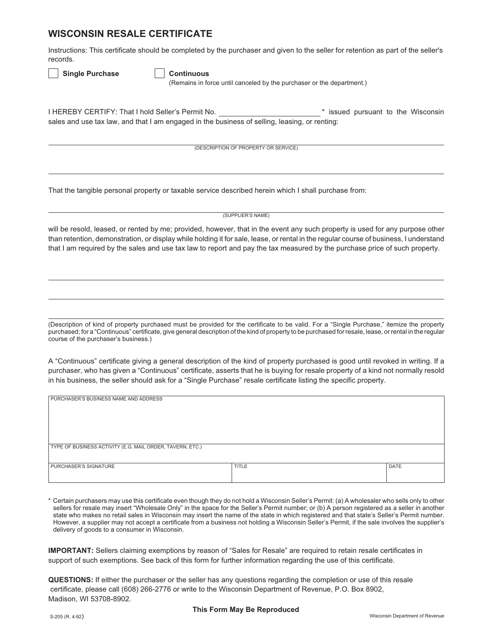## **WISCONSIN RESALE CERTIFICATE**

Instructions: This certificate should be completed by the purchaser and given to the seller for retention as part of the seller's records.

| <b>Single Purchase</b> | Continuous |
|------------------------|------------|
|------------------------|------------|

|  |  |  |  | Continuous |  |  |
|--|--|--|--|------------|--|--|
|  |  |  |  |            |  |  |
|  |  |  |  |            |  |  |
|  |  |  |  |            |  |  |

(Remains in force until canceled by the purchaser or the department.)

I HEREBY CERTIFY: That I hold Seller's Permit No. **\*** issued pursuant to the Wisconsin sales and use tax law, and that I am engaged in the business of selling, leasing, or renting:

(DESCRIPTION OF PROPERTY OR SERVICE)

That the tangible personal property or taxable service described herein which I shall purchase from:

(SUPPLIER'S NAME)

will be resold, leased, or rented by me; provided, however, that in the event any such property is used for any purpose other than retention, demonstration, or display while holding it for sale, lease, or rental in the regular course of business, I understand that I am required by the sales and use tax law to report and pay the tax measured by the purchase price of such property.

(Description of kind of property purchased must be provided for the certificate to be valid. For a "Single Purchase," itemize the property purchased; for a "Continuous" certificate, give general description of the kind of property to be purchased for resale, lease, or rental in the regular course of the purchaser's business.)

A "Continuous" certificate giving a general description of the kind of property purchased is good until revoked in writing. If a purchaser, who has given a "Continuous" certificate, asserts that he is buying for resale property of a kind not normally resold in his business, the seller should ask for a "Single Purchase" resale certificate listing the specific property.

| PURCHASER'S BUSINESS NAME AND ADDRESS                     |              |      |  |  |  |  |
|-----------------------------------------------------------|--------------|------|--|--|--|--|
| TYPE OF BUSINESS ACTIVITY (E.G. MAIL ORDER, TAVERN, ETC.) |              |      |  |  |  |  |
| <b>PURCHASER'S SIGNATURE</b>                              | <b>TITLE</b> | DATE |  |  |  |  |

\* Certain purchasers may use this certificate even though they do not hold a Wisconsin Seller's Permit: (a) A wholesaler who sells only to other sellers for resale may insert "Wholesale Only" in the space for the Seller's Permit number; or (b) A person registered as a seller in another state who makes no retail sales in Wisconsin may insert the name of the state in which registered and that state's Seller's Permit number. However, a supplier may not accept a certificate from a business not holding a Wisconsin Seller's Permit, if the sale involves the supplier's delivery of goods to a consumer in Wisconsin.

**IMPORTANT:** Sellers claiming exemptions by reason of "Sales for Resale" are required to retain resale certificates in support of such exemptions. See back of this form for further information regarding the use of this certificate.

**QUESTIONS:** If either the purchaser or the seller has any questions regarding the completion or use of this resale certificate, please call (608) 266-2776 or write to the Wisconsin Department of Revenue, P.O. Box 8902, Madison, WI 53708-8902.